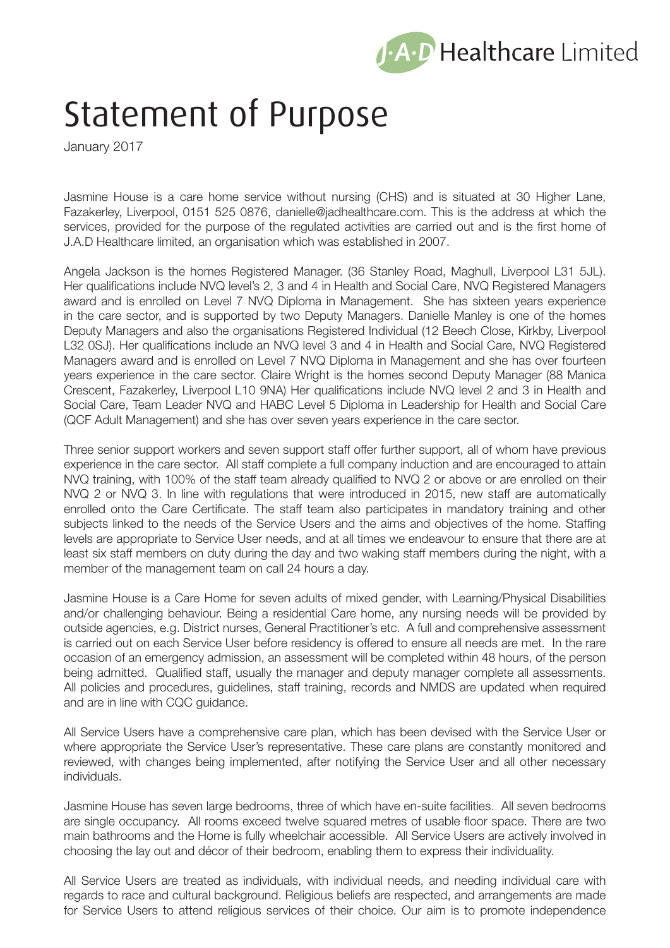

## Statement of Purpose

January 2017

Jasmine House is a care home service without nursing (CHS) and is situated at 30 Higher Lane, Fazakerley, Liverpool, 0151 525 0876, danielle@jadhealthcare.com. This is the address at which the services, provided for the purpose of the regulated activities are carried out and is the first home of J.A.D Healthcare limited, an organisation which was established in 2007.

Angela Jackson is the homes Registered Manager. (36 Stanley Road, Maghull, Liverpool L31 5JL). Her qualifications include NVQ level's 2, 3 and 4 in Health and Social Care, NVQ Registered Managers award and is enrolled on Level 7 NVQ Diploma in Management. She has sixteen years experience in the care sector, and is supported by two Deputy Managers. Danielle Manley is one of the homes Deputy Managers and also the organisations Registered Individual (12 Beech Close, Kirkby, Liverpool L32 0SJ). Her qualifications include an NVQ level 3 and 4 in Health and Social Care, NVQ Registered Managers award and is enrolled on Level 7 NVQ Diploma in Management and she has over fourteen years experience in the care sector. Claire Wright is the homes second Deputy Manager (88 Manica Crescent, Fazakerley, Liverpool L10 9NA) Her qualifications include NVQ level 2 and 3 in Health and Social Care, Team Leader NVQ and HABC Level 5 Diploma in Leadership for Health and Social Care (QCF Adult Management) and she has over seven years experience in the care sector.

Three senior support workers and seven support staff offer further support, all of whom have previous experience in the care sector. All staff complete a full company induction and are encouraged to attain NVQ training, with 100% of the staff team already qualified to NVQ 2 or above or are enrolled on their NVQ 2 or NVQ 3. In line with regulations that were introduced in 2015, new staff are automatically enrolled onto the Care Certificate. The staff team also participates in mandatory training and other subjects linked to the needs of the Service Users and the aims and objectives of the home. Staffing levels are appropriate to Service User needs, and at all times we endeavour to ensure that there are at least six staff members on duty during the day and two waking staff members during the night, with a member of the management team on call 24 hours a day.

Jasmine House is a Care Home for seven adults of mixed gender, with Learning/Physical Disabilities and/or challenging behaviour. Being a residential Care home, any nursing needs will be provided by outside agencies, e.g. District nurses, General Practitioner's etc. A full and comprehensive assessment is carried out on each Service User before residency is offered to ensure all needs are met. In the rare occasion of an emergency admission, an assessment will be completed within 48 hours, of the person being admitted. Qualified staff, usually the manager and deputy manager complete all assessments. All policies and procedures, guidelines, staff training, records and NMDS are updated when required and are in line with CQC guidance.

All Service Users have a comprehensive care plan, which has been devised with the Service User or where appropriate the Service User's representative. These care plans are constantly monitored and reviewed, with changes being implemented, after notifying the Service User and all other necessary individuals.

Jasmine House has seven large bedrooms, three of which have en-suite facilities. All seven bedrooms are single occupancy. All rooms exceed twelve squared metres of usable floor space. There are two main bathrooms and the Home is fully wheelchair accessible. All Service Users are actively involved in choosing the lay out and décor of their bedroom, enabling them to express their individuality.

All Service Users are treated as individuals, with individual needs, and needing individual care with regards to race and cultural background. Religious beliefs are respected, and arrangements are made for Service Users to attend religious services of their choice. Our aim is to promote independence